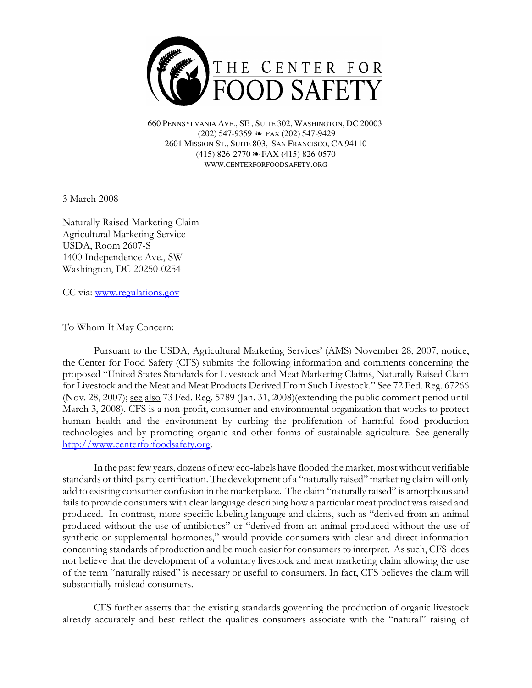

660 PENNSYLVANIA AVE., SE , SUITE 302, WASHINGTON, DC 20003 (202) 547-9359 ≥ FAX (202) 547-9429 2601 MISSION ST., SUITE 803, SAN FRANCISCO, CA 94110  $(415)$  826-2770  $\approx$  FAX (415) 826-0570 WWW.CENTERFORFOODSAFETY.ORG

3 March 2008

Naturally Raised Marketing Claim Agricultural Marketing Service USDA, Room 2607-S 1400 Independence Ave., SW Washington, DC 20250-0254

CC via: www.regulations.gov

To Whom It May Concern:

Pursuant to the USDA, Agricultural Marketing Services' (AMS) November 28, 2007, notice, the Center for Food Safety (CFS) submits the following information and comments concerning the proposed "United States Standards for Livestock and Meat Marketing Claims, Naturally Raised Claim for Livestock and the Meat and Meat Products Derived From Such Livestock." See 72 Fed. Reg. 67266 (Nov. 28, 2007); see also 73 Fed. Reg. 5789 (Jan. 31, 2008)(extending the public comment period until March 3, 2008). CFS is a non-profit, consumer and environmental organization that works to protect human health and the environment by curbing the proliferation of harmful food production technologies and by promoting organic and other forms of sustainable agriculture. See generally http://www.centerforfoodsafety.org.

In the past few years, dozens of new eco-labels have flooded the market, most without verifiable standards or third-party certification. The development of a "naturally raised" marketing claim will only add to existing consumer confusion in the marketplace. The claim "naturally raised" is amorphous and fails to provide consumers with clear language describing how a particular meat product was raised and produced. In contrast, more specific labeling language and claims, such as "derived from an animal produced without the use of antibiotics" or "derived from an animal produced without the use of synthetic or supplemental hormones," would provide consumers with clear and direct information concerning standards of production and be much easier for consumers to interpret. As such, CFS does not believe that the development of a voluntary livestock and meat marketing claim allowing the use of the term "naturally raised" is necessary or useful to consumers. In fact, CFS believes the claim will substantially mislead consumers.

CFS further asserts that the existing standards governing the production of organic livestock already accurately and best reflect the qualities consumers associate with the "natural" raising of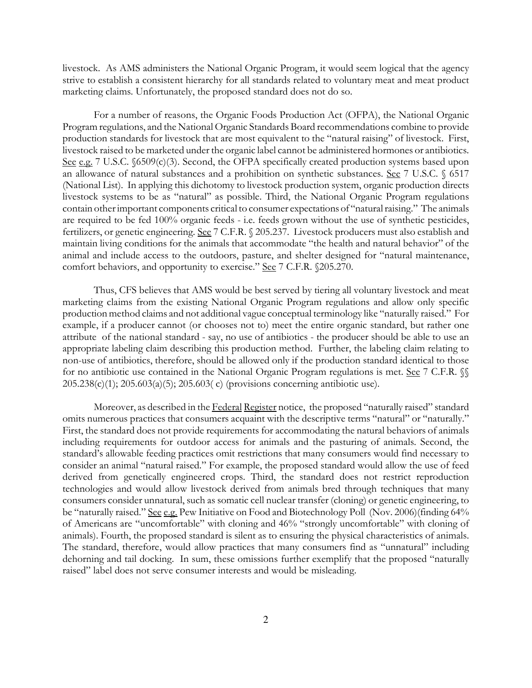livestock. As AMS administers the National Organic Program, it would seem logical that the agency strive to establish a consistent hierarchy for all standards related to voluntary meat and meat product marketing claims. Unfortunately, the proposed standard does not do so.

For a number of reasons, the Organic Foods Production Act (OFPA), the National Organic Program regulations, and the National Organic Standards Board recommendations combine to provide production standards for livestock that are most equivalent to the "natural raising" of livestock. First, livestock raised to be marketed under the organic label cannot be administered hormones or antibiotics. See e.g. 7 U.S.C. §6509(c)(3). Second, the OFPA specifically created production systems based upon an allowance of natural substances and a prohibition on synthetic substances. See 7 U.S.C. § 6517 (National List). In applying this dichotomy to livestock production system, organic production directs livestock systems to be as "natural" as possible. Third, the National Organic Program regulations contain other important components critical to consumer expectations of "natural raising." The animals are required to be fed 100% organic feeds - i.e. feeds grown without the use of synthetic pesticides, fertilizers, or genetic engineering. See 7 C.F.R. § 205.237. Livestock producers must also establish and maintain living conditions for the animals that accommodate "the health and natural behavior" of the animal and include access to the outdoors, pasture, and shelter designed for "natural maintenance, comfort behaviors, and opportunity to exercise." See 7 C.F.R. §205.270.

Thus, CFS believes that AMS would be best served by tiering all voluntary livestock and meat marketing claims from the existing National Organic Program regulations and allow only specific production method claims and not additional vague conceptual terminology like "naturally raised." For example, if a producer cannot (or chooses not to) meet the entire organic standard, but rather one attribute of the national standard - say, no use of antibiotics - the producer should be able to use an appropriate labeling claim describing this production method. Further, the labeling claim relating to non-use of antibiotics, therefore, should be allowed only if the production standard identical to those for no antibiotic use contained in the National Organic Program regulations is met. See 7 C.F.R.  $\%$ 205.238(c)(1); 205.603(a)(5); 205.603( c) (provisions concerning antibiotic use).

Moreover, as described in the Federal Register notice, the proposed "naturally raised" standard omits numerous practices that consumers acquaint with the descriptive terms "natural" or "naturally." First, the standard does not provide requirements for accommodating the natural behaviors of animals including requirements for outdoor access for animals and the pasturing of animals. Second, the standard's allowable feeding practices omit restrictions that many consumers would find necessary to consider an animal "natural raised." For example, the proposed standard would allow the use of feed derived from genetically engineered crops. Third, the standard does not restrict reproduction technologies and would allow livestock derived from animals bred through techniques that many consumers consider unnatural, such as somatic cell nuclear transfer (cloning) or genetic engineering, to be "naturally raised." See e.g. Pew Initiative on Food and Biotechnology Poll (Nov. 2006)(finding 64% of Americans are "uncomfortable" with cloning and 46% "strongly uncomfortable" with cloning of animals). Fourth, the proposed standard is silent as to ensuring the physical characteristics of animals. The standard, therefore, would allow practices that many consumers find as "unnatural" including dehorning and tail docking. In sum, these omissions further exemplify that the proposed "naturally raised" label does not serve consumer interests and would be misleading.